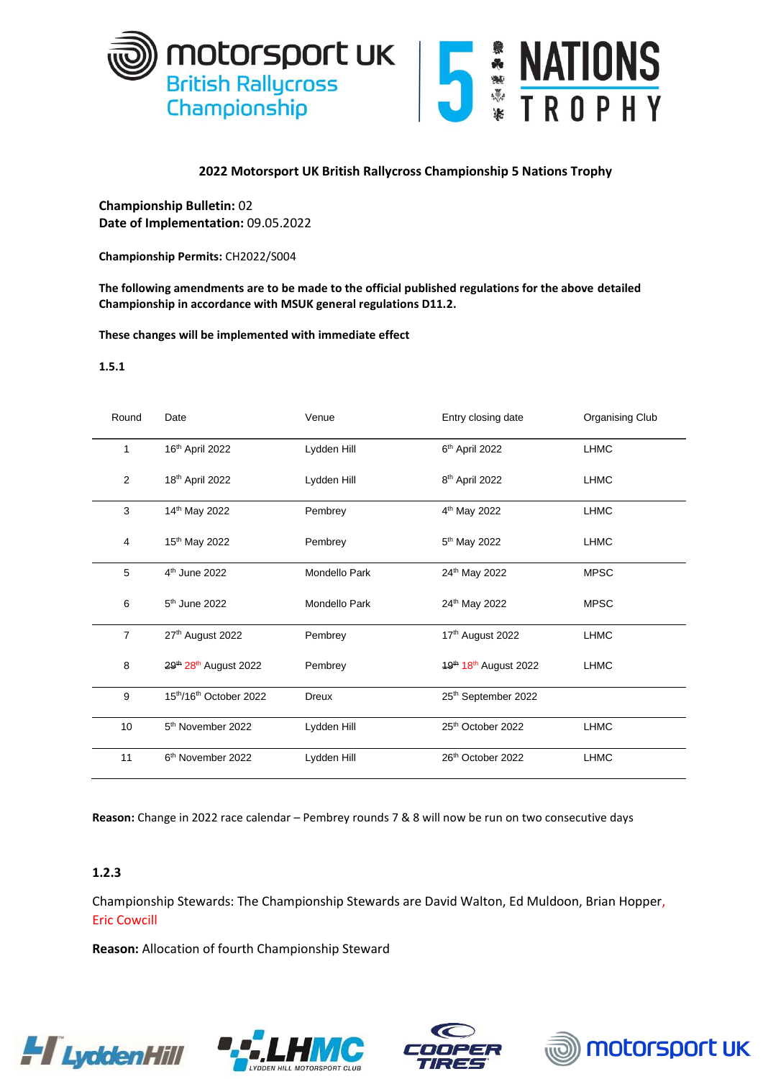



## **2022 Motorsport UK British Rallycross Championship 5 Nations Trophy**

**Championship Bulletin:** 02 **Date of Implementation:** 09.05.2022

**Championship Permits:** CH2022/S004

**The following amendments are to be made to the official published regulations for the above detailed Championship in accordance with MSUK general regulations D11.2.** 

**These changes will be implemented with immediate effect**

## **1.5.1**

| Round          | Date                                          | Venue         | Entry closing date                                           | Organising Club |
|----------------|-----------------------------------------------|---------------|--------------------------------------------------------------|-----------------|
| 1              | 16th April 2022                               | Lydden Hill   | 6th April 2022                                               | <b>LHMC</b>     |
| 2              | 18th April 2022                               | Lydden Hill   | 8 <sup>th</sup> April 2022                                   | <b>LHMC</b>     |
| 3              | 14th May 2022                                 | Pembrey       | 4 <sup>th</sup> May 2022                                     | <b>LHMC</b>     |
| 4              | 15 <sup>th</sup> May 2022                     | Pembrey       | 5 <sup>th</sup> May 2022                                     | <b>LHMC</b>     |
| 5              | 4 <sup>th</sup> June 2022                     | Mondello Park | 24th May 2022                                                | <b>MPSC</b>     |
| 6              | 5 <sup>th</sup> June 2022                     | Mondello Park | 24th May 2022                                                | <b>MPSC</b>     |
| $\overline{7}$ | 27th August 2022                              | Pembrey       | 17th August 2022                                             | <b>LHMC</b>     |
| 8              | 29 <sup>th</sup> 28 <sup>th</sup> August 2022 | Pembrey       | 19 <sup>th</sup> 18 <sup>th</sup> August 2022<br><b>LHMC</b> |                 |
| 9              | 15th/16th October 2022                        | <b>Dreux</b>  | 25th September 2022                                          |                 |
| 10             | 5 <sup>th</sup> November 2022                 | Lydden Hill   | 25th October 2022                                            | <b>LHMC</b>     |
| 11             | 6 <sup>th</sup> November 2022                 | Lydden Hill   | 26th October 2022                                            | <b>LHMC</b>     |

**Reason:** Change in 2022 race calendar – Pembrey rounds 7 & 8 will now be run on two consecutive days

## **1.2.3**

Championship Stewards: The Championship Stewards are David Walton, Ed Muldoon, Brian Hopper, Eric Cowcill

**Reason:** Allocation of fourth Championship Steward